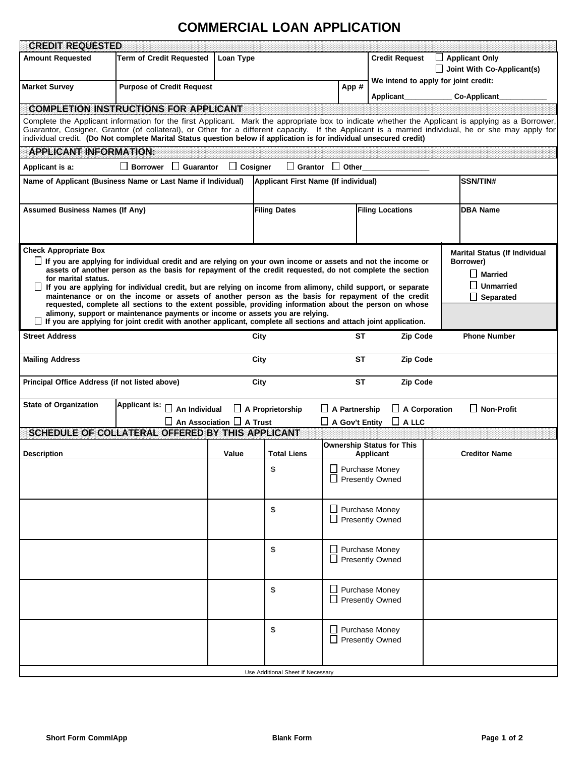## **COMMERCIAL LOAN APPLICATION**

| <b>GREDIT REQUESTED</b>                                                                                                                                                                                                                                                                                 |                                                                                                                                                                                                               |                                      |                                   |                             |                                               |                      |                                      |  |
|---------------------------------------------------------------------------------------------------------------------------------------------------------------------------------------------------------------------------------------------------------------------------------------------------------|---------------------------------------------------------------------------------------------------------------------------------------------------------------------------------------------------------------|--------------------------------------|-----------------------------------|-----------------------------|-----------------------------------------------|----------------------|--------------------------------------|--|
| <b>Amount Requested</b>                                                                                                                                                                                                                                                                                 | <b>Term of Credit Requested</b>                                                                                                                                                                               | Loan Type                            |                                   |                             | <b>Credit Request</b>                         |                      | Applicant Only                       |  |
|                                                                                                                                                                                                                                                                                                         |                                                                                                                                                                                                               |                                      |                                   |                             |                                               |                      | $\Box$ Joint With Co-Applicant(s)    |  |
| <b>Market Survey</b>                                                                                                                                                                                                                                                                                    | <b>Purpose of Credit Request</b>                                                                                                                                                                              |                                      |                                   | App #                       | We intend to apply for joint credit:          |                      |                                      |  |
|                                                                                                                                                                                                                                                                                                         |                                                                                                                                                                                                               |                                      |                                   |                             | Applicant                                     |                      | Co-Applicant                         |  |
| <b>COMPLETION INSTRUCTIONS FOR APPLICANT</b>                                                                                                                                                                                                                                                            |                                                                                                                                                                                                               |                                      |                                   |                             |                                               |                      |                                      |  |
| Complete the Applicant information for the first Applicant. Mark the appropriate box to indicate whether the Applicant is applying as a Borrower,<br>Guarantor, Cosigner, Grantor (of collateral), or Other for a different capacity. If the Applicant is a married individual, he or she may apply for |                                                                                                                                                                                                               |                                      |                                   |                             |                                               |                      |                                      |  |
| individual credit. (Do Not complete Marital Status question below if application is for individual unsecured credit)                                                                                                                                                                                    |                                                                                                                                                                                                               |                                      |                                   |                             |                                               |                      |                                      |  |
| <b>APPLICANT INFORMATION:</b>                                                                                                                                                                                                                                                                           |                                                                                                                                                                                                               |                                      |                                   |                             |                                               |                      |                                      |  |
| Applicant is a:                                                                                                                                                                                                                                                                                         | Borrower<br>$\Box$ Guarantor                                                                                                                                                                                  | $\Box$ Cosigner                      |                                   | $\Box$ Grantor $\Box$ Other |                                               |                      |                                      |  |
| <b>SSN/TIN#</b><br>Name of Applicant (Business Name or Last Name if Individual)<br>Applicant First Name (If individual)                                                                                                                                                                                 |                                                                                                                                                                                                               |                                      |                                   |                             |                                               |                      |                                      |  |
|                                                                                                                                                                                                                                                                                                         |                                                                                                                                                                                                               |                                      |                                   |                             |                                               |                      |                                      |  |
| <b>Assumed Business Names (If Any)</b>                                                                                                                                                                                                                                                                  |                                                                                                                                                                                                               |                                      | <b>Filing Dates</b>               |                             | <b>Filing Locations</b>                       |                      | <b>DBA Name</b>                      |  |
|                                                                                                                                                                                                                                                                                                         |                                                                                                                                                                                                               |                                      |                                   |                             |                                               |                      |                                      |  |
|                                                                                                                                                                                                                                                                                                         |                                                                                                                                                                                                               |                                      |                                   |                             |                                               |                      |                                      |  |
| <b>Check Appropriate Box</b>                                                                                                                                                                                                                                                                            |                                                                                                                                                                                                               |                                      |                                   |                             |                                               |                      | <b>Marital Status (If Individual</b> |  |
|                                                                                                                                                                                                                                                                                                         | $\Box$ If you are applying for individual credit and are relying on your own income or assets and not the income or                                                                                           |                                      |                                   |                             |                                               |                      | Borrower)                            |  |
| for marital status.                                                                                                                                                                                                                                                                                     | assets of another person as the basis for repayment of the credit requested, do not complete the section                                                                                                      |                                      |                                   |                             |                                               |                      | <b>Married</b><br>l 1                |  |
|                                                                                                                                                                                                                                                                                                         | $\Box$ If you are applying for individual credit, but are relying on income from alimony, child support, or separate                                                                                          |                                      |                                   |                             |                                               |                      | <b>Unmarried</b>                     |  |
|                                                                                                                                                                                                                                                                                                         | maintenance or on the income or assets of another person as the basis for repayment of the credit<br>requested, complete all sections to the extent possible, providing information about the person on whose |                                      |                                   |                             |                                               |                      | $\blacksquare$<br>Separated          |  |
|                                                                                                                                                                                                                                                                                                         | alimony, support or maintenance payments or income or assets you are relying.                                                                                                                                 |                                      |                                   |                             |                                               |                      |                                      |  |
|                                                                                                                                                                                                                                                                                                         | If you are applying for joint credit with another applicant, complete all sections and attach joint application.                                                                                              |                                      |                                   |                             |                                               |                      |                                      |  |
| <b>Street Address</b>                                                                                                                                                                                                                                                                                   |                                                                                                                                                                                                               |                                      | City                              | <b>ST</b>                   | Zip Code                                      |                      | <b>Phone Number</b>                  |  |
| <b>Mailing Address</b>                                                                                                                                                                                                                                                                                  |                                                                                                                                                                                                               |                                      | City                              | <b>ST</b>                   | Zip Code                                      |                      |                                      |  |
| City<br><b>ST</b><br>Principal Office Address (if not listed above)<br>Zip Code                                                                                                                                                                                                                         |                                                                                                                                                                                                               |                                      |                                   |                             |                                               |                      |                                      |  |
| <b>State of Organization</b>                                                                                                                                                                                                                                                                            | Applicant is: <sub>I</sub> An Individual                                                                                                                                                                      |                                      | A Proprietorship                  | $\Box$ A Partnership        |                                               | $\Box$ A Corporation | $\Box$ Non-Profit                    |  |
|                                                                                                                                                                                                                                                                                                         |                                                                                                                                                                                                               | $\Box$ An Association $\Box$ A Trust |                                   | A Gov't Entity              | $\Box$ A LLC                                  |                      |                                      |  |
|                                                                                                                                                                                                                                                                                                         | SCHEDULE OF COLLATERAL OFFERED BY THIS APPLICANT                                                                                                                                                              |                                      |                                   |                             |                                               |                      |                                      |  |
| Description                                                                                                                                                                                                                                                                                             |                                                                                                                                                                                                               | Value                                | <b>Total Liens</b>                |                             | <b>Ownership Status for This</b><br>Applicant |                      | <b>Creditor Name</b>                 |  |
|                                                                                                                                                                                                                                                                                                         |                                                                                                                                                                                                               |                                      | \$.                               |                             | Purchase Money                                |                      |                                      |  |
|                                                                                                                                                                                                                                                                                                         |                                                                                                                                                                                                               |                                      |                                   |                             | Presently Owned                               |                      |                                      |  |
|                                                                                                                                                                                                                                                                                                         |                                                                                                                                                                                                               |                                      |                                   |                             |                                               |                      |                                      |  |
|                                                                                                                                                                                                                                                                                                         |                                                                                                                                                                                                               |                                      | \$                                |                             | $\Box$ Purchase Money                         |                      |                                      |  |
|                                                                                                                                                                                                                                                                                                         |                                                                                                                                                                                                               |                                      |                                   |                             | Presently Owned                               |                      |                                      |  |
|                                                                                                                                                                                                                                                                                                         |                                                                                                                                                                                                               |                                      |                                   |                             |                                               |                      |                                      |  |
|                                                                                                                                                                                                                                                                                                         |                                                                                                                                                                                                               |                                      | \$                                |                             | $\Box$ Purchase Money                         |                      |                                      |  |
|                                                                                                                                                                                                                                                                                                         |                                                                                                                                                                                                               |                                      |                                   |                             | Presently Owned                               |                      |                                      |  |
|                                                                                                                                                                                                                                                                                                         |                                                                                                                                                                                                               |                                      |                                   |                             |                                               |                      |                                      |  |
|                                                                                                                                                                                                                                                                                                         |                                                                                                                                                                                                               |                                      | \$                                |                             | Purchase Money                                |                      |                                      |  |
|                                                                                                                                                                                                                                                                                                         |                                                                                                                                                                                                               |                                      |                                   |                             | Presently Owned                               |                      |                                      |  |
|                                                                                                                                                                                                                                                                                                         |                                                                                                                                                                                                               |                                      |                                   |                             |                                               |                      |                                      |  |
|                                                                                                                                                                                                                                                                                                         |                                                                                                                                                                                                               |                                      | \$                                |                             | Purchase Money                                |                      |                                      |  |
|                                                                                                                                                                                                                                                                                                         |                                                                                                                                                                                                               |                                      |                                   |                             | Presently Owned                               |                      |                                      |  |
|                                                                                                                                                                                                                                                                                                         |                                                                                                                                                                                                               |                                      |                                   |                             |                                               |                      |                                      |  |
|                                                                                                                                                                                                                                                                                                         |                                                                                                                                                                                                               |                                      | Use Additional Sheet if Necessary |                             |                                               |                      |                                      |  |